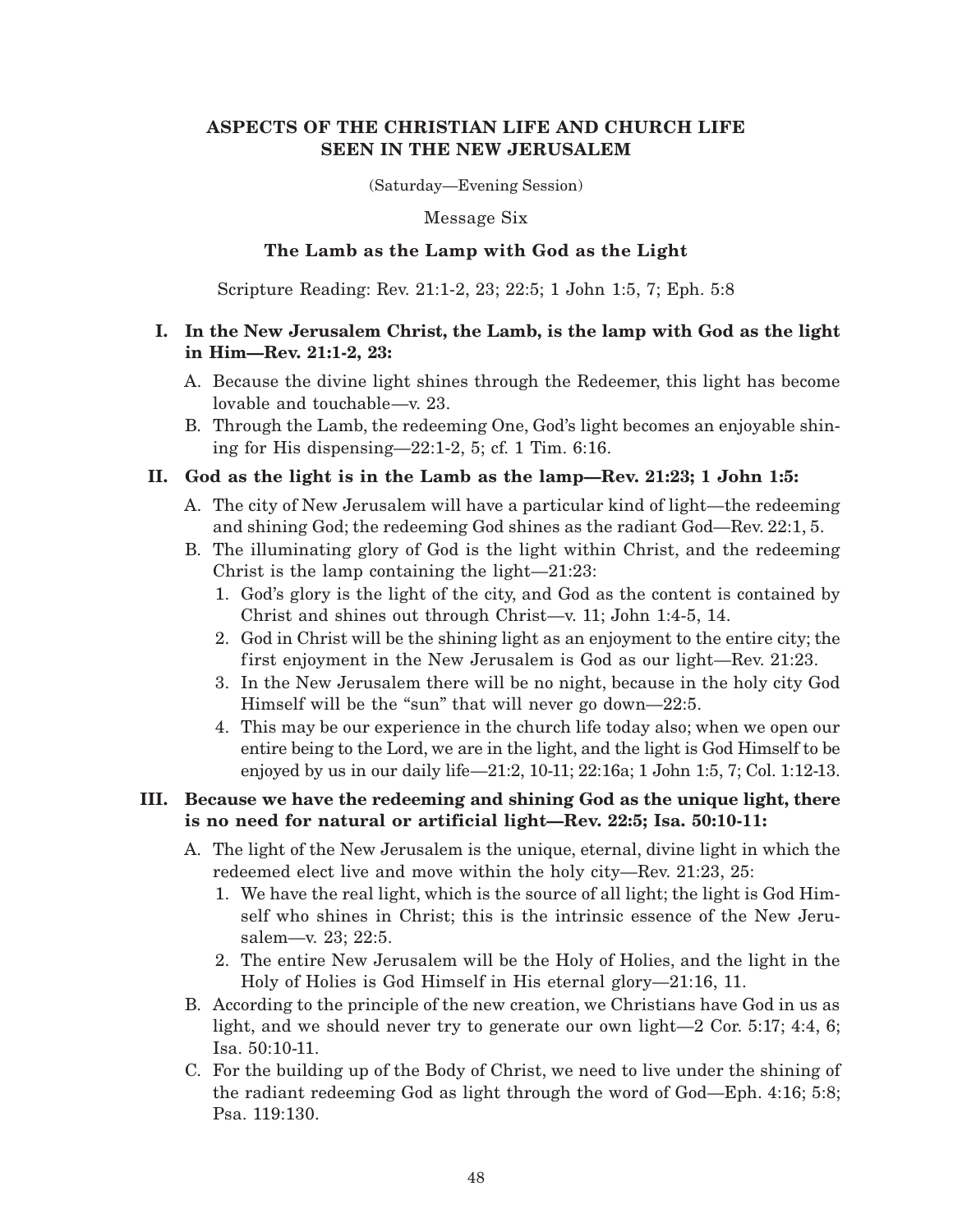## **ASPECTS OF THE CHRISTIAN LIFE AND CHURCH LIFE SEEN IN THE NEW JERUSALEM**

(Saturday—Evening Session)

Message Six

## **The Lamb as the Lamp with God as the Light**

Scripture Reading: Rev. 21:1-2, 23; 22:5; 1 John 1:5, 7; Eph. 5:8

## **I. In the New Jerusalem Christ, the Lamb, is the lamp with God as the light in Him—Rev. 21:1-2, 23:**

- A. Because the divine light shines through the Redeemer, this light has become lovable and touchable—v. 23.
- B. Through the Lamb, the redeeming One, God's light becomes an enjoyable shining for His dispensing—22:1-2, 5; cf. 1 Tim. 6:16.

# **II. God as the light is in the Lamb as the lamp—Rev. 21:23; 1 John 1:5:**

- A. The city of New Jerusalem will have a particular kind of light—the redeeming and shining God; the redeeming God shines as the radiant God—Rev. 22:1, 5.
- B. The illuminating glory of God is the light within Christ, and the redeeming Christ is the lamp containing the light—21:23:
	- 1. God's glory is the light of the city, and God as the content is contained by Christ and shines out through Christ—v. 11; John 1:4-5, 14.
	- 2. God in Christ will be the shining light as an enjoyment to the entire city; the first enjoyment in the New Jerusalem is God as our light—Rev. 21:23.
	- 3. In the New Jerusalem there will be no night, because in the holy city God Himself will be the "sun" that will never go down—22:5.
	- 4. This may be our experience in the church life today also; when we open our entire being to the Lord, we are in the light, and the light is God Himself to be enjoyed by us in our daily life—21:2, 10-11; 22:16a; 1 John 1:5, 7; Col. 1:12-13.

# **III. Because we have the redeeming and shining God as the unique light, there is no need for natural or artificial light—Rev. 22:5; Isa. 50:10-11:**

- A. The light of the New Jerusalem is the unique, eternal, divine light in which the redeemed elect live and move within the holy city—Rev. 21:23, 25:
	- 1. We have the real light, which is the source of all light; the light is God Himself who shines in Christ; this is the intrinsic essence of the New Jerusalem—v. 23; 22:5.
	- 2. The entire New Jerusalem will be the Holy of Holies, and the light in the Holy of Holies is God Himself in His eternal glory—21:16, 11.
- B. According to the principle of the new creation, we Christians have God in us as light, and we should never try to generate our own light—2 Cor. 5:17; 4:4, 6; Isa. 50:10-11.
- C. For the building up of the Body of Christ, we need to live under the shining of the radiant redeeming God as light through the word of God—Eph. 4:16; 5:8; Psa. 119:130.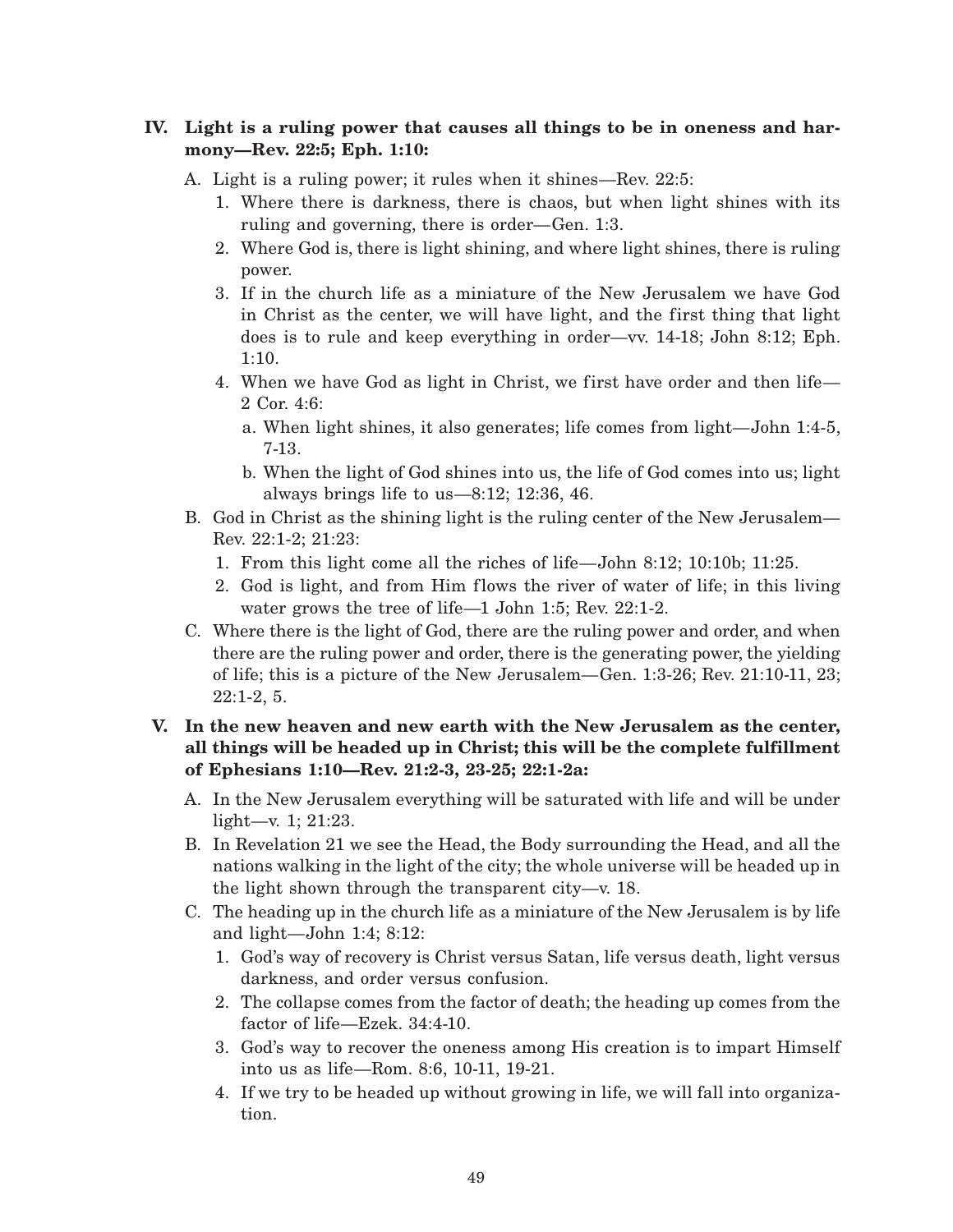# **IV. Light is a ruling power that causes all things to be in oneness and harmony—Rev. 22:5; Eph. 1:10:**

- A. Light is a ruling power; it rules when it shines—Rev. 22:5:
	- 1. Where there is darkness, there is chaos, but when light shines with its ruling and governing, there is order—Gen. 1:3.
	- 2. Where God is, there is light shining, and where light shines, there is ruling power.
	- 3. If in the church life as a miniature of the New Jerusalem we have God in Christ as the center, we will have light, and the first thing that light does is to rule and keep everything in order—vv. 14-18; John 8:12; Eph. 1:10.
	- 4. When we have God as light in Christ, we first have order and then life— 2 Cor. 4:6:
		- a. When light shines, it also generates; life comes from light—John 1:4-5, 7-13.
		- b. When the light of God shines into us, the life of God comes into us; light always brings life to us—8:12; 12:36, 46.
- B. God in Christ as the shining light is the ruling center of the New Jerusalem— Rev. 22:1-2; 21:23:
	- 1. From this light come all the riches of life—John 8:12; 10:10b; 11:25.
	- 2. God is light, and from Him flows the river of water of life; in this living water grows the tree of life—1 John 1:5; Rev. 22:1-2.
- C. Where there is the light of God, there are the ruling power and order, and when there are the ruling power and order, there is the generating power, the yielding of life; this is a picture of the New Jerusalem—Gen. 1:3-26; Rev. 21:10-11, 23; 22:1-2, 5.

# **V. In the new heaven and new earth with the New Jerusalem as the center, all things will be headed up in Christ; this will be the complete fulfillment of Ephesians 1:10—Rev. 21:2-3, 23-25; 22:1-2a:**

- A. In the New Jerusalem everything will be saturated with life and will be under light—v. 1; 21:23.
- B. In Revelation 21 we see the Head, the Body surrounding the Head, and all the nations walking in the light of the city; the whole universe will be headed up in the light shown through the transparent city—v. 18.
- C. The heading up in the church life as a miniature of the New Jerusalem is by life and light—John 1:4; 8:12:
	- 1. God's way of recovery is Christ versus Satan, life versus death, light versus darkness, and order versus confusion.
	- 2. The collapse comes from the factor of death; the heading up comes from the factor of life—Ezek. 34:4-10.
	- 3. God's way to recover the oneness among His creation is to impart Himself into us as life—Rom. 8:6, 10-11, 19-21.
	- 4. If we try to be headed up without growing in life, we will fall into organization.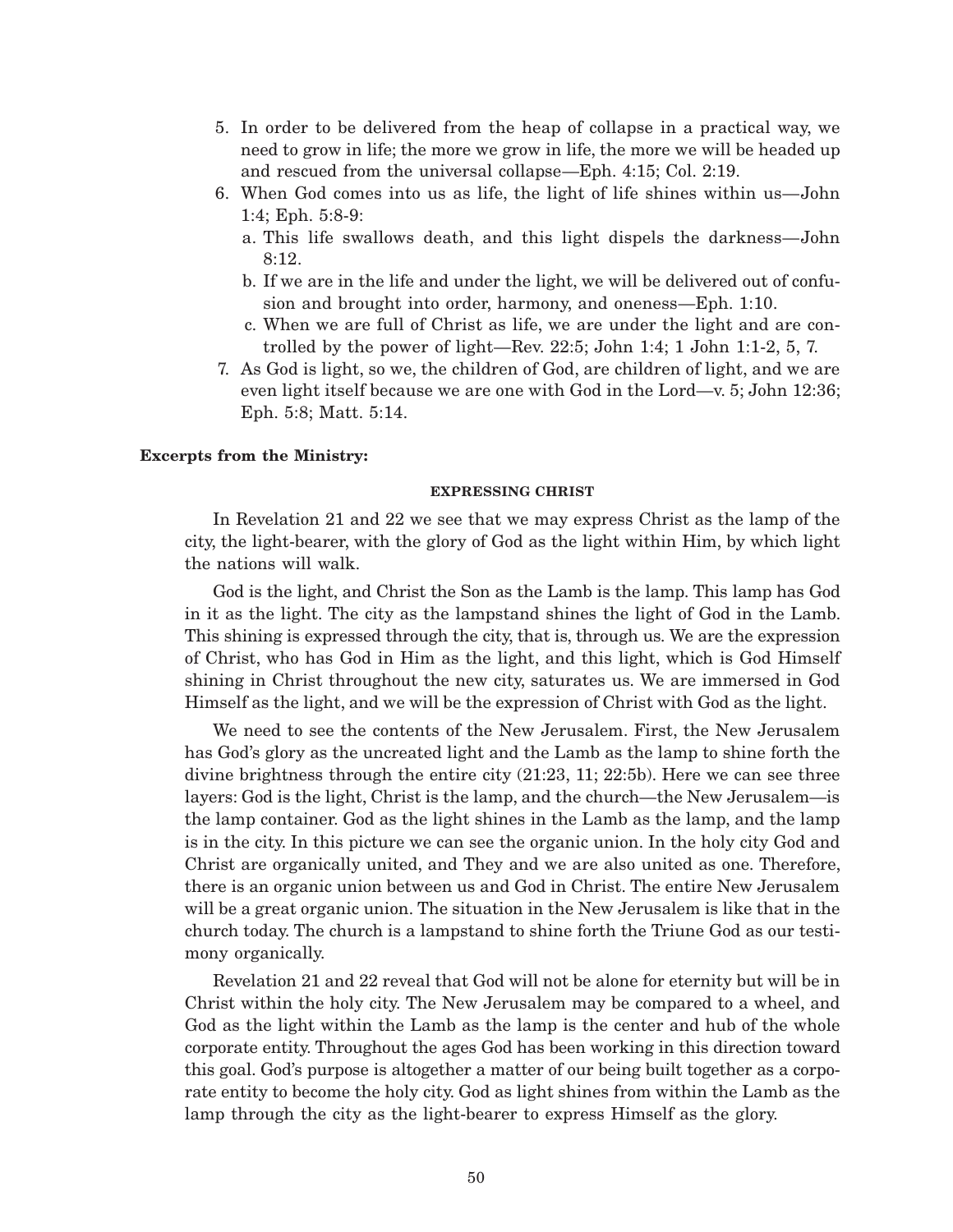- 5. In order to be delivered from the heap of collapse in a practical way, we need to grow in life; the more we grow in life, the more we will be headed up and rescued from the universal collapse—Eph. 4:15; Col. 2:19.
- 6. When God comes into us as life, the light of life shines within us—John 1:4; Eph. 5:8-9:
	- a. This life swallows death, and this light dispels the darkness—John 8:12.
	- b. If we are in the life and under the light, we will be delivered out of confusion and brought into order, harmony, and oneness—Eph. 1:10.
	- c. When we are full of Christ as life, we are under the light and are controlled by the power of light—Rev. 22:5; John 1:4; 1 John 1:1-2, 5, 7.
- 7. As God is light, so we, the children of God, are children of light, and we are even light itself because we are one with God in the Lord—v. 5; John 12:36; Eph. 5:8; Matt. 5:14.

### **Excerpts from the Ministry:**

#### **EXPRESSING CHRIST**

In Revelation 21 and 22 we see that we may express Christ as the lamp of the city, the light-bearer, with the glory of God as the light within Him, by which light the nations will walk.

God is the light, and Christ the Son as the Lamb is the lamp. This lamp has God in it as the light. The city as the lampstand shines the light of God in the Lamb. This shining is expressed through the city, that is, through us. We are the expression of Christ, who has God in Him as the light, and this light, which is God Himself shining in Christ throughout the new city, saturates us. We are immersed in God Himself as the light, and we will be the expression of Christ with God as the light.

We need to see the contents of the New Jerusalem. First, the New Jerusalem has God's glory as the uncreated light and the Lamb as the lamp to shine forth the divine brightness through the entire city (21:23, 11; 22:5b). Here we can see three layers: God is the light, Christ is the lamp, and the church—the New Jerusalem—is the lamp container. God as the light shines in the Lamb as the lamp, and the lamp is in the city. In this picture we can see the organic union. In the holy city God and Christ are organically united, and They and we are also united as one. Therefore, there is an organic union between us and God in Christ. The entire New Jerusalem will be a great organic union. The situation in the New Jerusalem is like that in the church today. The church is a lampstand to shine forth the Triune God as our testimony organically.

Revelation 21 and 22 reveal that God will not be alone for eternity but will be in Christ within the holy city. The New Jerusalem may be compared to a wheel, and God as the light within the Lamb as the lamp is the center and hub of the whole corporate entity. Throughout the ages God has been working in this direction toward this goal. God's purpose is altogether a matter of our being built together as a corporate entity to become the holy city. God as light shines from within the Lamb as the lamp through the city as the light-bearer to express Himself as the glory.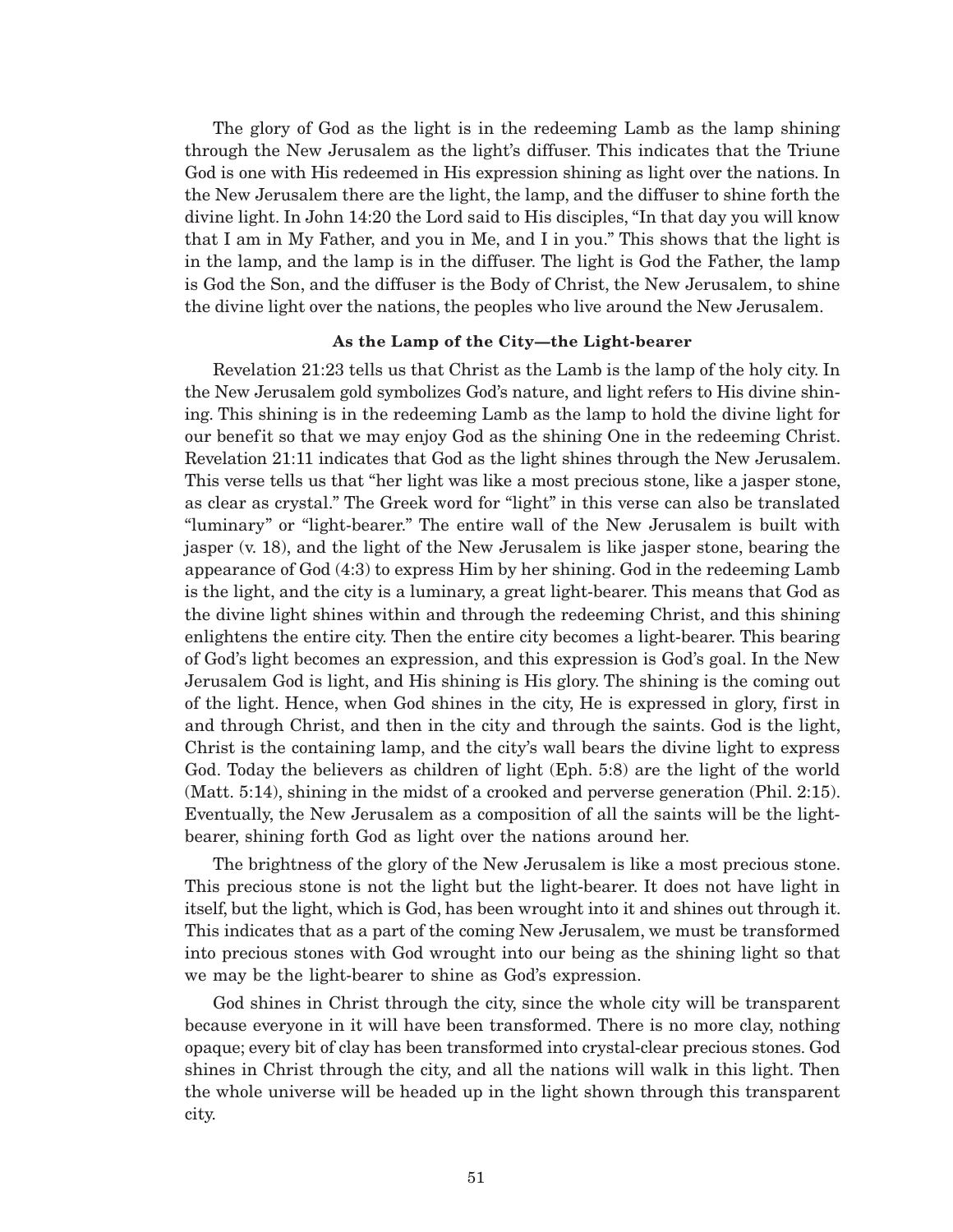The glory of God as the light is in the redeeming Lamb as the lamp shining through the New Jerusalem as the light's diffuser. This indicates that the Triune God is one with His redeemed in His expression shining as light over the nations. In the New Jerusalem there are the light, the lamp, and the diffuser to shine forth the divine light. In John 14:20 the Lord said to His disciples, "In that day you will know that I am in My Father, and you in Me, and I in you." This shows that the light is in the lamp, and the lamp is in the diffuser. The light is God the Father, the lamp is God the Son, and the diffuser is the Body of Christ, the New Jerusalem, to shine the divine light over the nations, the peoples who live around the New Jerusalem.

### **As the Lamp of the City—the Light-bearer**

Revelation 21:23 tells us that Christ as the Lamb is the lamp of the holy city. In the New Jerusalem gold symbolizes God's nature, and light refers to His divine shining. This shining is in the redeeming Lamb as the lamp to hold the divine light for our benefit so that we may enjoy God as the shining One in the redeeming Christ. Revelation 21:11 indicates that God as the light shines through the New Jerusalem. This verse tells us that "her light was like a most precious stone, like a jasper stone, as clear as crystal." The Greek word for "light" in this verse can also be translated "luminary" or "light-bearer." The entire wall of the New Jerusalem is built with jasper (v. 18), and the light of the New Jerusalem is like jasper stone, bearing the appearance of God (4:3) to express Him by her shining. God in the redeeming Lamb is the light, and the city is a luminary, a great light-bearer. This means that God as the divine light shines within and through the redeeming Christ, and this shining enlightens the entire city. Then the entire city becomes a light-bearer. This bearing of God's light becomes an expression, and this expression is God's goal. In the New Jerusalem God is light, and His shining is His glory. The shining is the coming out of the light. Hence, when God shines in the city, He is expressed in glory, first in and through Christ, and then in the city and through the saints. God is the light, Christ is the containing lamp, and the city's wall bears the divine light to express God. Today the believers as children of light (Eph. 5:8) are the light of the world (Matt. 5:14), shining in the midst of a crooked and perverse generation (Phil. 2:15). Eventually, the New Jerusalem as a composition of all the saints will be the lightbearer, shining forth God as light over the nations around her.

The brightness of the glory of the New Jerusalem is like a most precious stone. This precious stone is not the light but the light-bearer. It does not have light in itself, but the light, which is God, has been wrought into it and shines out through it. This indicates that as a part of the coming New Jerusalem, we must be transformed into precious stones with God wrought into our being as the shining light so that we may be the light-bearer to shine as God's expression.

God shines in Christ through the city, since the whole city will be transparent because everyone in it will have been transformed. There is no more clay, nothing opaque; every bit of clay has been transformed into crystal-clear precious stones. God shines in Christ through the city, and all the nations will walk in this light. Then the whole universe will be headed up in the light shown through this transparent city.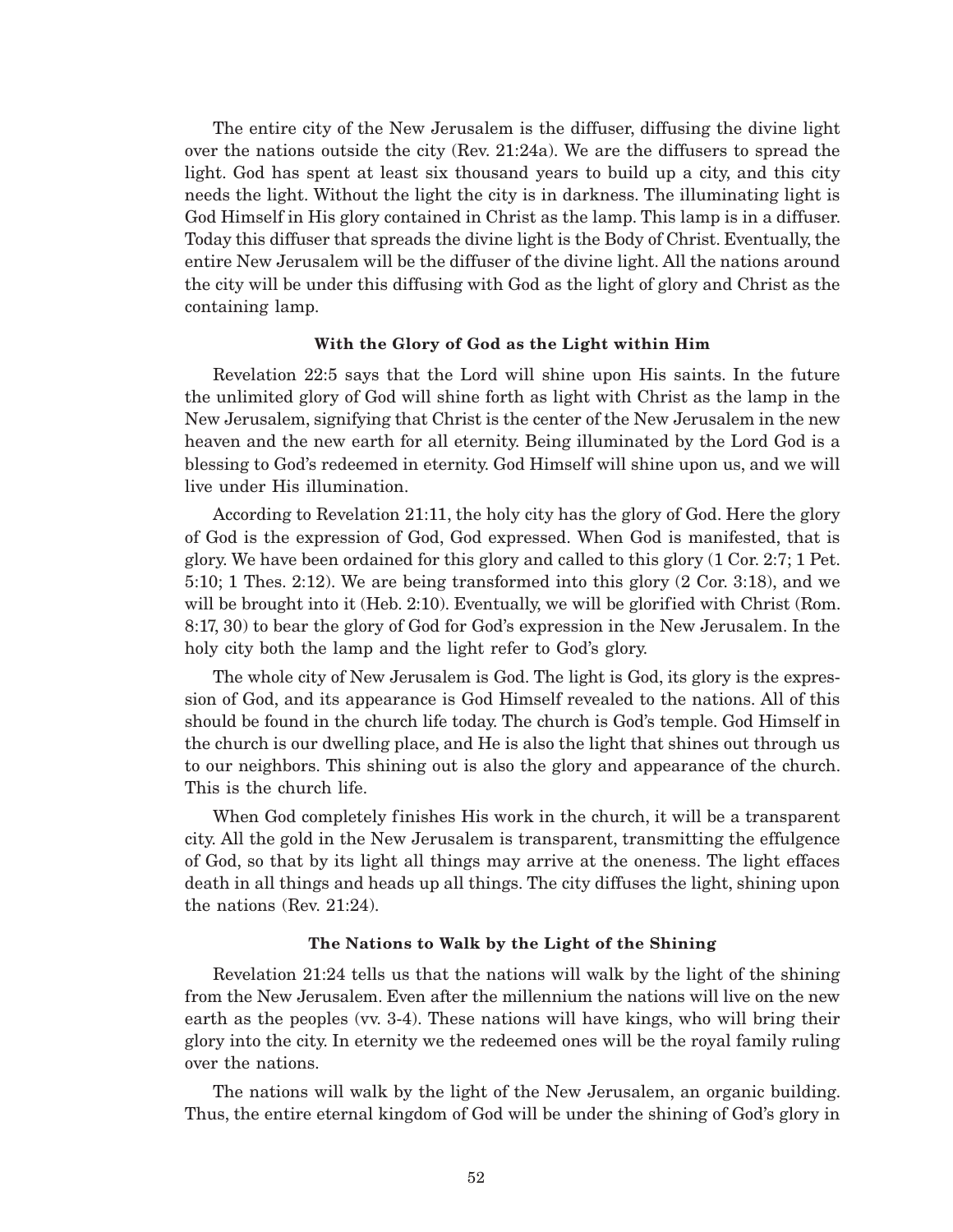The entire city of the New Jerusalem is the diffuser, diffusing the divine light over the nations outside the city (Rev. 21:24a). We are the diffusers to spread the light. God has spent at least six thousand years to build up a city, and this city needs the light. Without the light the city is in darkness. The illuminating light is God Himself in His glory contained in Christ as the lamp. This lamp is in a diffuser. Today this diffuser that spreads the divine light is the Body of Christ. Eventually, the entire New Jerusalem will be the diffuser of the divine light. All the nations around the city will be under this diffusing with God as the light of glory and Christ as the containing lamp.

#### **With the Glory of God as the Light within Him**

Revelation 22:5 says that the Lord will shine upon His saints. In the future the unlimited glory of God will shine forth as light with Christ as the lamp in the New Jerusalem, signifying that Christ is the center of the New Jerusalem in the new heaven and the new earth for all eternity. Being illuminated by the Lord God is a blessing to God's redeemed in eternity. God Himself will shine upon us, and we will live under His illumination.

According to Revelation 21:11, the holy city has the glory of God. Here the glory of God is the expression of God, God expressed. When God is manifested, that is glory. We have been ordained for this glory and called to this glory (1 Cor. 2:7; 1 Pet. 5:10; 1 Thes. 2:12). We are being transformed into this glory (2 Cor. 3:18), and we will be brought into it (Heb. 2:10). Eventually, we will be glorified with Christ (Rom. 8:17, 30) to bear the glory of God for God's expression in the New Jerusalem. In the holy city both the lamp and the light refer to God's glory.

The whole city of New Jerusalem is God. The light is God, its glory is the expression of God, and its appearance is God Himself revealed to the nations. All of this should be found in the church life today. The church is God's temple. God Himself in the church is our dwelling place, and He is also the light that shines out through us to our neighbors. This shining out is also the glory and appearance of the church. This is the church life.

When God completely finishes His work in the church, it will be a transparent city. All the gold in the New Jerusalem is transparent, transmitting the effulgence of God, so that by its light all things may arrive at the oneness. The light effaces death in all things and heads up all things. The city diffuses the light, shining upon the nations (Rev. 21:24).

### **The Nations to Walk by the Light of the Shining**

Revelation 21:24 tells us that the nations will walk by the light of the shining from the New Jerusalem. Even after the millennium the nations will live on the new earth as the peoples (vv. 3-4). These nations will have kings, who will bring their glory into the city. In eternity we the redeemed ones will be the royal family ruling over the nations.

The nations will walk by the light of the New Jerusalem, an organic building. Thus, the entire eternal kingdom of God will be under the shining of God's glory in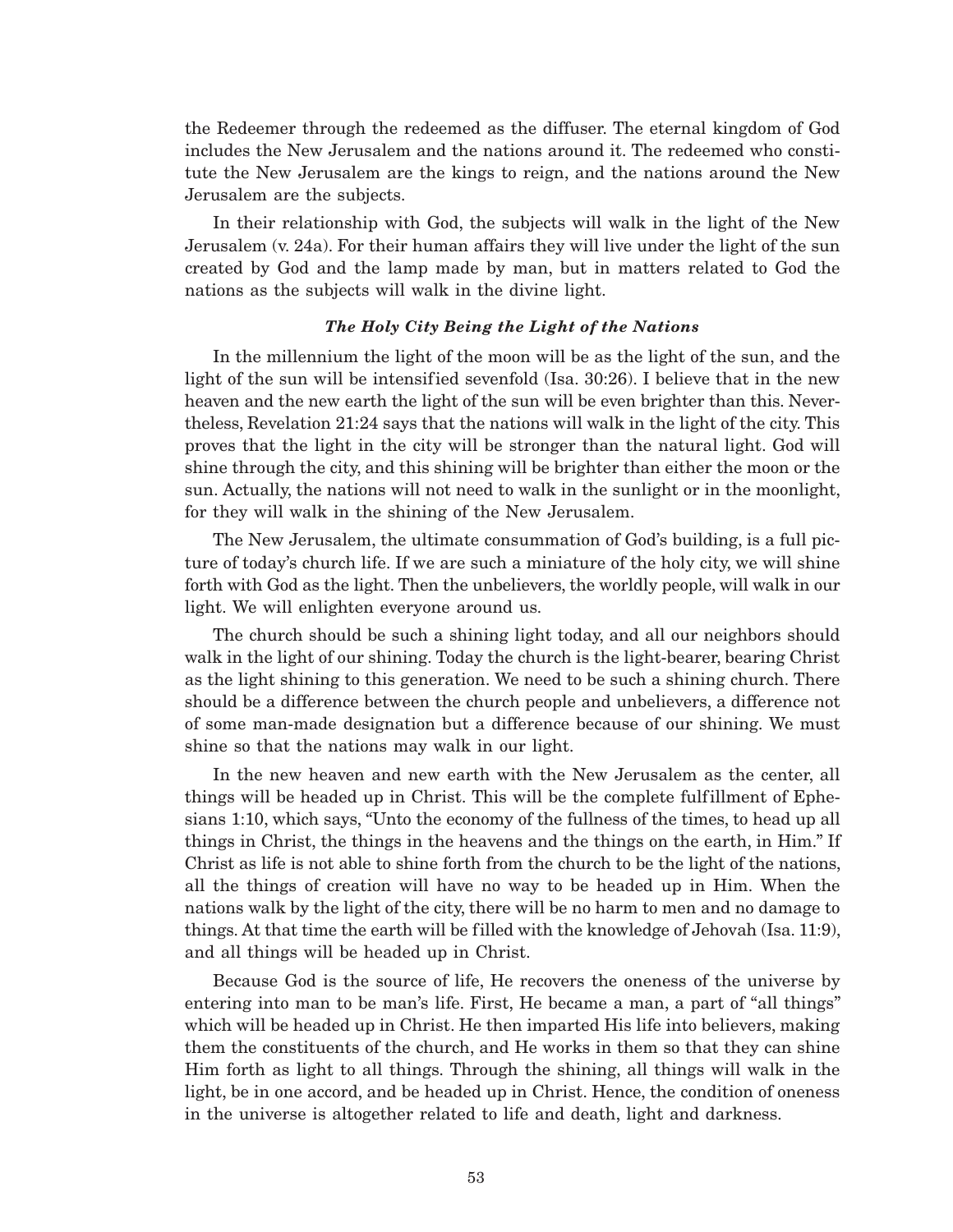the Redeemer through the redeemed as the diffuser. The eternal kingdom of God includes the New Jerusalem and the nations around it. The redeemed who constitute the New Jerusalem are the kings to reign, and the nations around the New Jerusalem are the subjects.

In their relationship with God, the subjects will walk in the light of the New Jerusalem (v. 24a). For their human affairs they will live under the light of the sun created by God and the lamp made by man, but in matters related to God the nations as the subjects will walk in the divine light.

### *The Holy City Being the Light of the Nations*

In the millennium the light of the moon will be as the light of the sun, and the light of the sun will be intensified sevenfold (Isa. 30:26). I believe that in the new heaven and the new earth the light of the sun will be even brighter than this. Nevertheless, Revelation 21:24 says that the nations will walk in the light of the city. This proves that the light in the city will be stronger than the natural light. God will shine through the city, and this shining will be brighter than either the moon or the sun. Actually, the nations will not need to walk in the sunlight or in the moonlight, for they will walk in the shining of the New Jerusalem.

The New Jerusalem, the ultimate consummation of God's building, is a full picture of today's church life. If we are such a miniature of the holy city, we will shine forth with God as the light. Then the unbelievers, the worldly people, will walk in our light. We will enlighten everyone around us.

The church should be such a shining light today, and all our neighbors should walk in the light of our shining. Today the church is the light-bearer, bearing Christ as the light shining to this generation. We need to be such a shining church. There should be a difference between the church people and unbelievers, a difference not of some man-made designation but a difference because of our shining. We must shine so that the nations may walk in our light.

In the new heaven and new earth with the New Jerusalem as the center, all things will be headed up in Christ. This will be the complete fulfillment of Ephesians 1:10, which says, "Unto the economy of the fullness of the times, to head up all things in Christ, the things in the heavens and the things on the earth, in Him." If Christ as life is not able to shine forth from the church to be the light of the nations, all the things of creation will have no way to be headed up in Him. When the nations walk by the light of the city, there will be no harm to men and no damage to things. At that time the earth will be filled with the knowledge of Jehovah (Isa. 11:9), and all things will be headed up in Christ.

Because God is the source of life, He recovers the oneness of the universe by entering into man to be man's life. First, He became a man, a part of "all things" which will be headed up in Christ. He then imparted His life into believers, making them the constituents of the church, and He works in them so that they can shine Him forth as light to all things. Through the shining, all things will walk in the light, be in one accord, and be headed up in Christ. Hence, the condition of oneness in the universe is altogether related to life and death, light and darkness.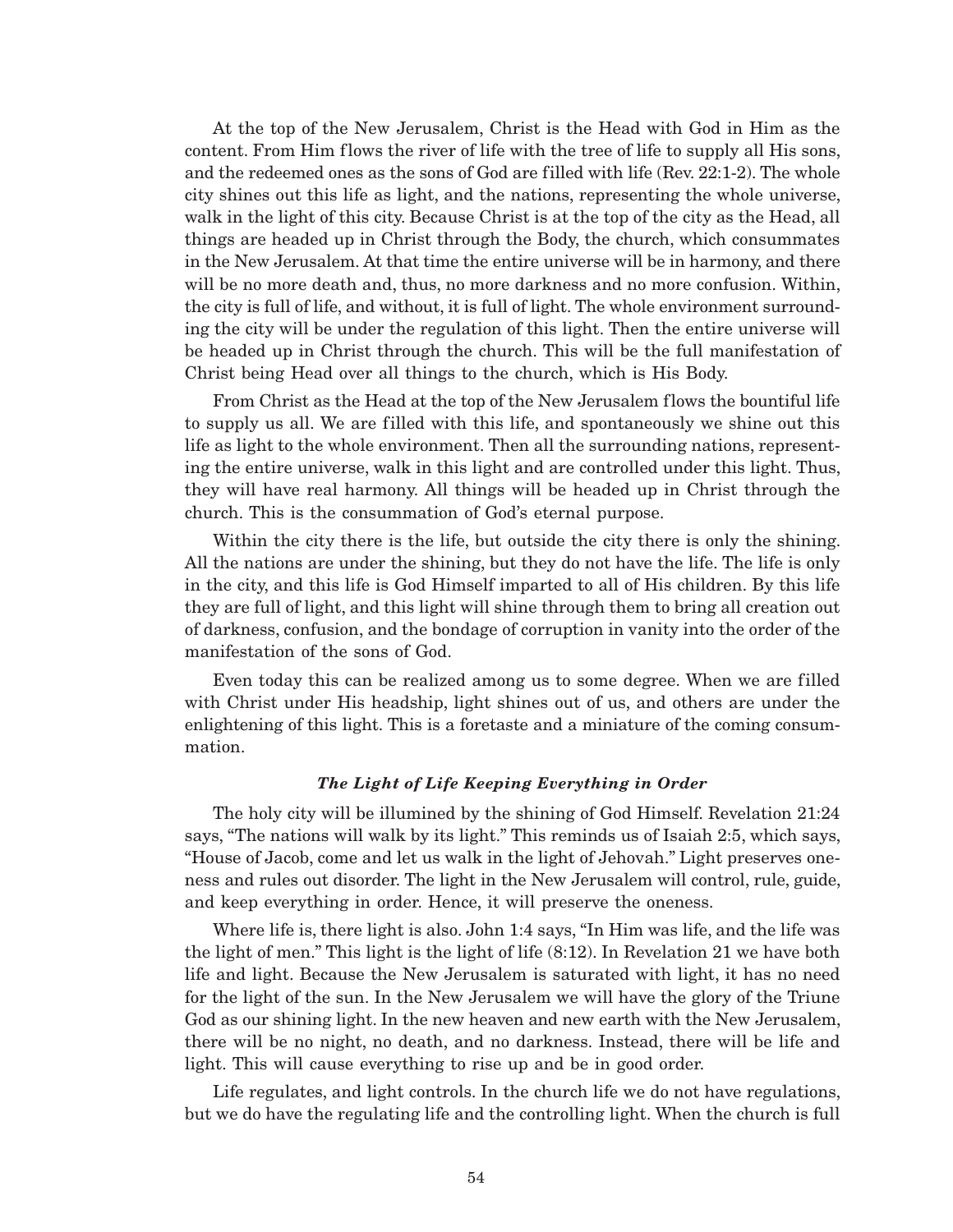At the top of the New Jerusalem, Christ is the Head with God in Him as the content. From Him flows the river of life with the tree of life to supply all His sons, and the redeemed ones as the sons of God are filled with life (Rev. 22:1-2). The whole city shines out this life as light, and the nations, representing the whole universe, walk in the light of this city. Because Christ is at the top of the city as the Head, all things are headed up in Christ through the Body, the church, which consummates in the New Jerusalem. At that time the entire universe will be in harmony, and there will be no more death and, thus, no more darkness and no more confusion. Within, the city is full of life, and without, it is full of light. The whole environment surrounding the city will be under the regulation of this light. Then the entire universe will be headed up in Christ through the church. This will be the full manifestation of Christ being Head over all things to the church, which is His Body.

From Christ as the Head at the top of the New Jerusalem flows the bountiful life to supply us all. We are filled with this life, and spontaneously we shine out this life as light to the whole environment. Then all the surrounding nations, representing the entire universe, walk in this light and are controlled under this light. Thus, they will have real harmony. All things will be headed up in Christ through the church. This is the consummation of God's eternal purpose.

Within the city there is the life, but outside the city there is only the shining. All the nations are under the shining, but they do not have the life. The life is only in the city, and this life is God Himself imparted to all of His children. By this life they are full of light, and this light will shine through them to bring all creation out of darkness, confusion, and the bondage of corruption in vanity into the order of the manifestation of the sons of God.

Even today this can be realized among us to some degree. When we are filled with Christ under His headship, light shines out of us, and others are under the enlightening of this light. This is a foretaste and a miniature of the coming consummation.

### *The Light of Life Keeping Everything in Order*

The holy city will be illumined by the shining of God Himself. Revelation 21:24 says, "The nations will walk by its light." This reminds us of Isaiah 2:5, which says, "House of Jacob, come and let us walk in the light of Jehovah." Light preserves oneness and rules out disorder. The light in the New Jerusalem will control, rule, guide, and keep everything in order. Hence, it will preserve the oneness.

Where life is, there light is also. John 1:4 says, "In Him was life, and the life was the light of men." This light is the light of life (8:12). In Revelation 21 we have both life and light. Because the New Jerusalem is saturated with light, it has no need for the light of the sun. In the New Jerusalem we will have the glory of the Triune God as our shining light. In the new heaven and new earth with the New Jerusalem, there will be no night, no death, and no darkness. Instead, there will be life and light. This will cause everything to rise up and be in good order.

Life regulates, and light controls. In the church life we do not have regulations, but we do have the regulating life and the controlling light. When the church is full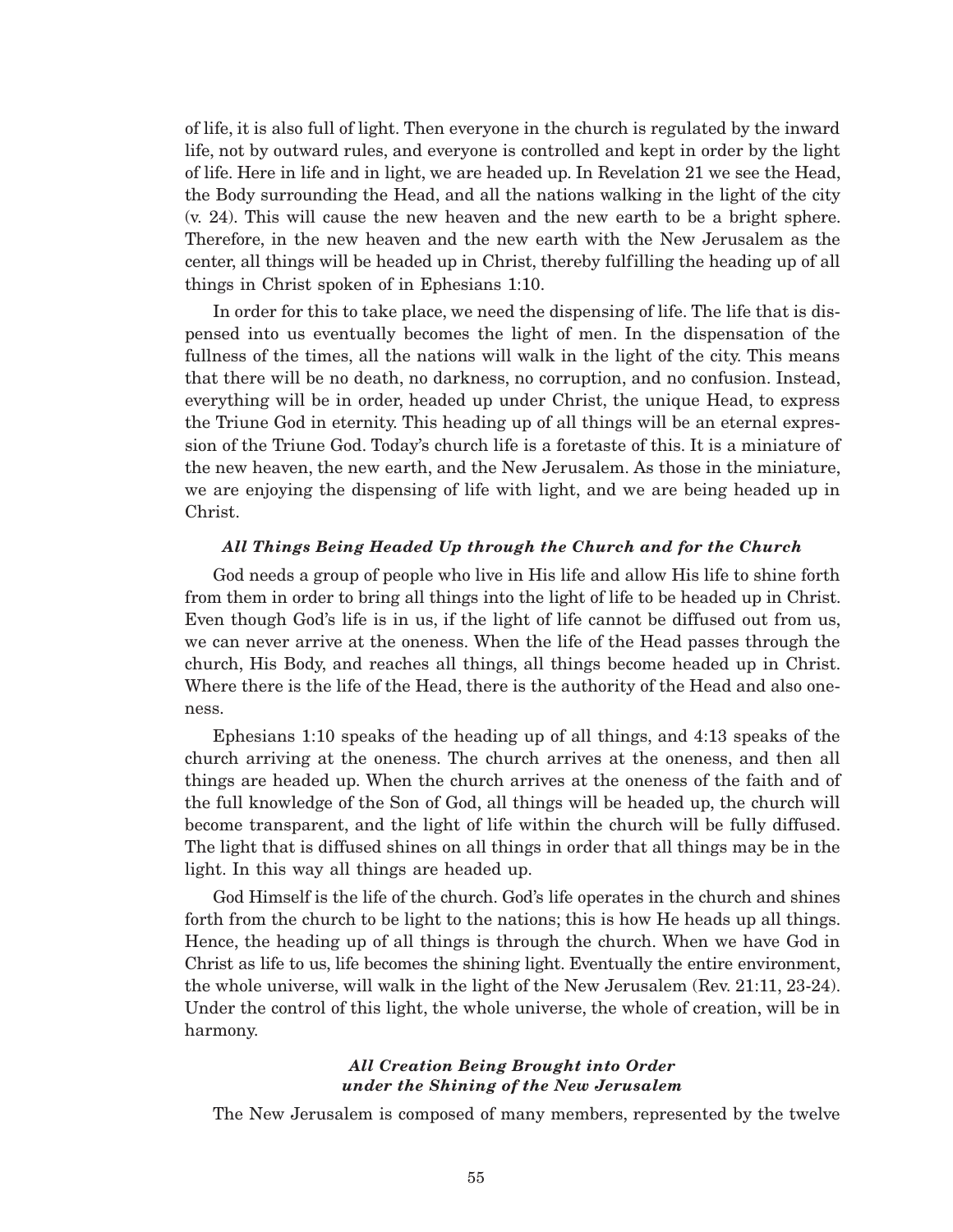of life, it is also full of light. Then everyone in the church is regulated by the inward life, not by outward rules, and everyone is controlled and kept in order by the light of life. Here in life and in light, we are headed up. In Revelation 21 we see the Head, the Body surrounding the Head, and all the nations walking in the light of the city (v. 24). This will cause the new heaven and the new earth to be a bright sphere. Therefore, in the new heaven and the new earth with the New Jerusalem as the center, all things will be headed up in Christ, thereby fulfilling the heading up of all things in Christ spoken of in Ephesians 1:10.

In order for this to take place, we need the dispensing of life. The life that is dispensed into us eventually becomes the light of men. In the dispensation of the fullness of the times, all the nations will walk in the light of the city. This means that there will be no death, no darkness, no corruption, and no confusion. Instead, everything will be in order, headed up under Christ, the unique Head, to express the Triune God in eternity. This heading up of all things will be an eternal expression of the Triune God. Today's church life is a foretaste of this. It is a miniature of the new heaven, the new earth, and the New Jerusalem. As those in the miniature, we are enjoying the dispensing of life with light, and we are being headed up in Christ.

### *All Things Being Headed Up through the Church and for the Church*

God needs a group of people who live in His life and allow His life to shine forth from them in order to bring all things into the light of life to be headed up in Christ. Even though God's life is in us, if the light of life cannot be diffused out from us, we can never arrive at the oneness. When the life of the Head passes through the church, His Body, and reaches all things, all things become headed up in Christ. Where there is the life of the Head, there is the authority of the Head and also oneness.

Ephesians 1:10 speaks of the heading up of all things, and 4:13 speaks of the church arriving at the oneness. The church arrives at the oneness, and then all things are headed up. When the church arrives at the oneness of the faith and of the full knowledge of the Son of God, all things will be headed up, the church will become transparent, and the light of life within the church will be fully diffused. The light that is diffused shines on all things in order that all things may be in the light. In this way all things are headed up.

God Himself is the life of the church. God's life operates in the church and shines forth from the church to be light to the nations; this is how He heads up all things. Hence, the heading up of all things is through the church. When we have God in Christ as life to us, life becomes the shining light. Eventually the entire environment, the whole universe, will walk in the light of the New Jerusalem (Rev. 21:11, 23-24). Under the control of this light, the whole universe, the whole of creation, will be in harmony.

## *All Creation Being Brought into Order under the Shining of the New Jerusalem*

The New Jerusalem is composed of many members, represented by the twelve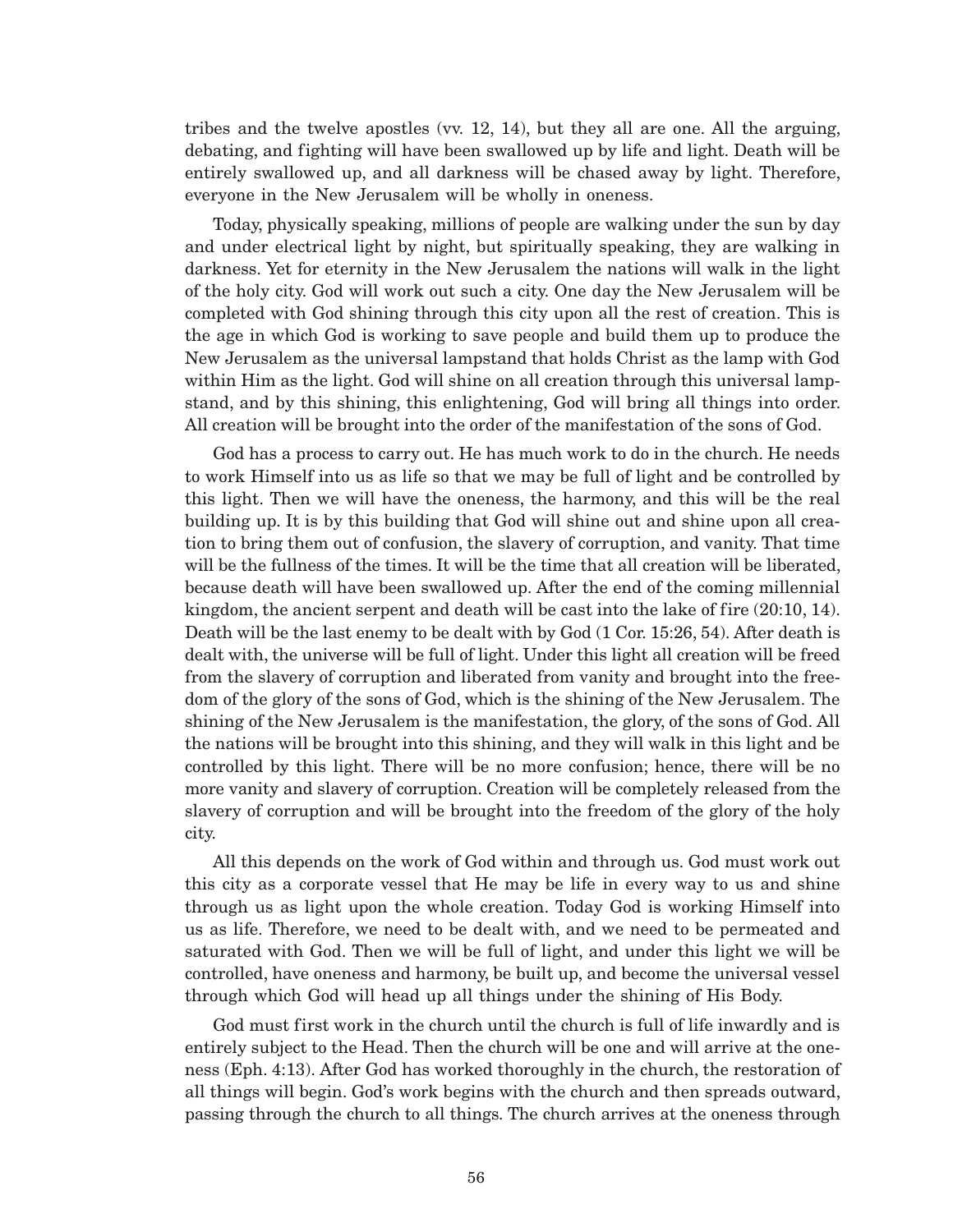tribes and the twelve apostles (vv. 12, 14), but they all are one. All the arguing, debating, and fighting will have been swallowed up by life and light. Death will be entirely swallowed up, and all darkness will be chased away by light. Therefore, everyone in the New Jerusalem will be wholly in oneness.

Today, physically speaking, millions of people are walking under the sun by day and under electrical light by night, but spiritually speaking, they are walking in darkness. Yet for eternity in the New Jerusalem the nations will walk in the light of the holy city. God will work out such a city. One day the New Jerusalem will be completed with God shining through this city upon all the rest of creation. This is the age in which God is working to save people and build them up to produce the New Jerusalem as the universal lampstand that holds Christ as the lamp with God within Him as the light. God will shine on all creation through this universal lampstand, and by this shining, this enlightening, God will bring all things into order. All creation will be brought into the order of the manifestation of the sons of God.

God has a process to carry out. He has much work to do in the church. He needs to work Himself into us as life so that we may be full of light and be controlled by this light. Then we will have the oneness, the harmony, and this will be the real building up. It is by this building that God will shine out and shine upon all creation to bring them out of confusion, the slavery of corruption, and vanity. That time will be the fullness of the times. It will be the time that all creation will be liberated, because death will have been swallowed up. After the end of the coming millennial kingdom, the ancient serpent and death will be cast into the lake of fire (20:10, 14). Death will be the last enemy to be dealt with by God (1 Cor. 15:26, 54). After death is dealt with, the universe will be full of light. Under this light all creation will be freed from the slavery of corruption and liberated from vanity and brought into the freedom of the glory of the sons of God, which is the shining of the New Jerusalem. The shining of the New Jerusalem is the manifestation, the glory, of the sons of God. All the nations will be brought into this shining, and they will walk in this light and be controlled by this light. There will be no more confusion; hence, there will be no more vanity and slavery of corruption. Creation will be completely released from the slavery of corruption and will be brought into the freedom of the glory of the holy city.

All this depends on the work of God within and through us. God must work out this city as a corporate vessel that He may be life in every way to us and shine through us as light upon the whole creation. Today God is working Himself into us as life. Therefore, we need to be dealt with, and we need to be permeated and saturated with God. Then we will be full of light, and under this light we will be controlled, have oneness and harmony, be built up, and become the universal vessel through which God will head up all things under the shining of His Body.

God must first work in the church until the church is full of life inwardly and is entirely subject to the Head. Then the church will be one and will arrive at the oneness (Eph. 4:13). After God has worked thoroughly in the church, the restoration of all things will begin. God's work begins with the church and then spreads outward, passing through the church to all things. The church arrives at the oneness through